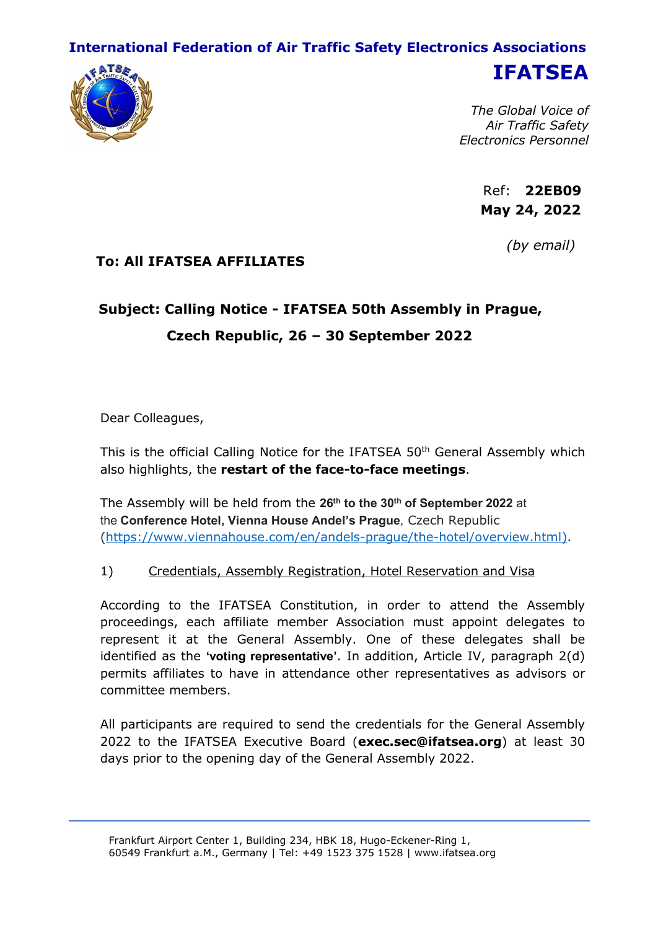## **International Federation of Air Traffic Safety Electronics Associations**



**IFATSEA**

*The Global Voice of Air Traffic Safety Electronics Personnel*

> Ref: **22EB09 May 24, 2022**

> > *(by email)*

# **To: All IFATSEA AFFILIATES**

# **Subject: Calling Notice - IFATSEA 50th Assembly in Prague, Czech Republic, 26 – 30 September 2022**

Dear Colleagues,

This is the official Calling Notice for the IFATSEA 50<sup>th</sup> General Assembly which also highlights, the **restart of the face-to-face meetings**.

The Assembly will be held from the **26 th to the 30 th of September 2022** at the **Conference Hotel, Vienna House Andel's Prague**, Czech Republic (<https://www.viennahouse.com/en/andels-prague/the-hotel/overview.html>).

#### 1) Credentials, Assembly Registration, Hotel Reservation and Visa

According to the IFATSEA Constitution, in order to attend the Assembly proceedings, each affiliate member Association must appoint delegates to represent it at the General Assembly. One of these delegates shall be identified as the **'voting representative'**. In addition, Article IV, paragraph 2(d) permits affiliates to have in attendance other representatives as advisors or committee members.

All participants are required to send the credentials forthe General Assembly 2022 to the IFATSEA Executive Board (**exec.sec@ifatsea.org**) at least 30 days prior to the opening day of the General Assembly 2022.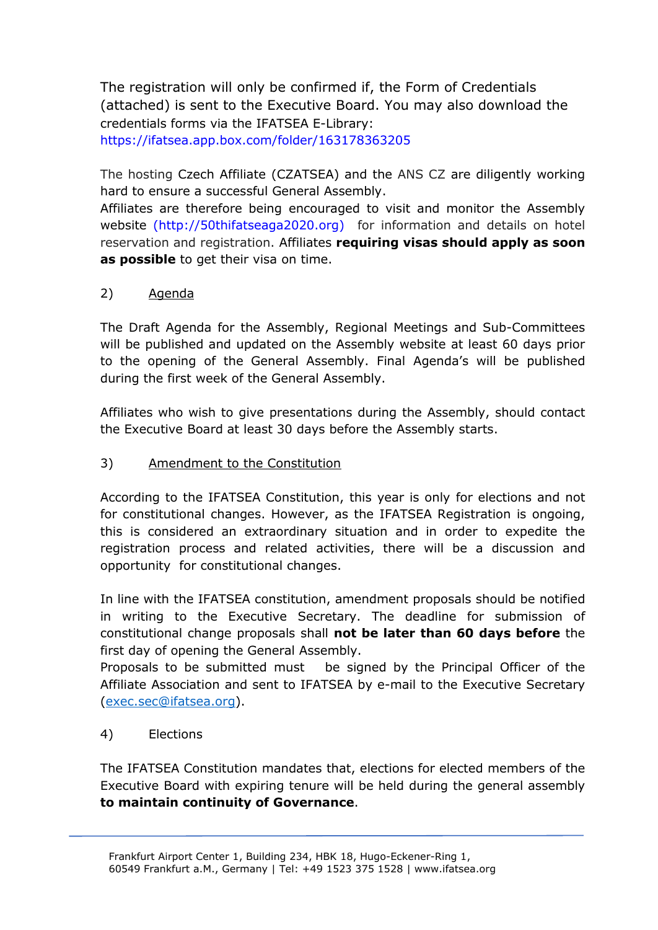The registration will only be confirmed if, the Form of Credentials (attached) is sent to the Executive Board. You may also download the credentials forms via the IFATSEA E-Library: <https://ifatsea.app.box.com/folder/163178363205>

The hosting Czech Affiliate (CZATSEA) and the ANS CZ are diligently working hard to ensure a successful General Assembly.

Affiliates are therefore being encouraged to visit and monitor the Assembly website (http://50thifatseaga2020.org) for information and details on hotel reservation and registration. Affiliates **requiring visas should apply as soon as possible** to get their visa on time.<br>2) Agenda

The Draft Agenda for the Assembly, Regional Meetings and Sub-Committees will be published and updated on the Assembly website at least 60 days prior to the opening of the General Assembly. Final Agenda's will be published during the first week of the General Assembly.

Affiliates who wish to give presentations during the Assembly, should contact the Executive Board at least 30 days before the Assembly starts.

### 3) Amendment to the Constitution

According to the IFATSEA Constitution, this year is only for elections and not for constitutional changes. However, as the IFATSEA Registration is ongoing, this is considered an extraordinary situation and in order to expedite the registration process and related activities, there will be a discussion and opportunity for constitutional changes.

In line with the IFATSEA constitution, amendment proposals should be notified in writing to the Executive Secretary. The deadline for submission of constitutional change proposals shall **not be later than 60 days before** the first day of opening the General Assembly.

Proposals to be submitted must be signed by the Principal Officer of the Affiliate Association and sent to IFATSEA by e-mail to the Executive Secretary ([exec.sec@ifatsea.org](mailto:exec.sec@ifatsea.org)).

#### 4) Elections

The IFATSEA Constitution mandates that, elections forelected members of the Executive Board with expiring tenure will be held during the general assembly **to maintain continuity of Governance**.